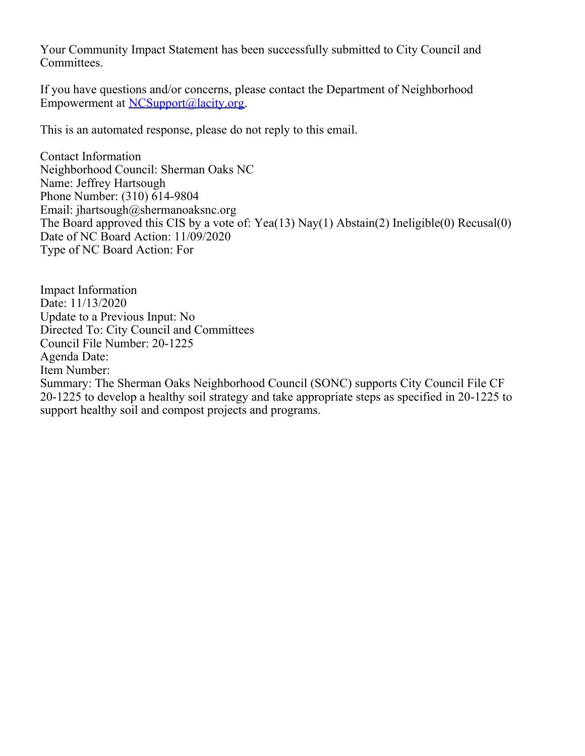Your Community Impact Statement has been successfully submitted to City Council and Committees.

If you have questions and/or concerns, please contact the Department of Neighborhood Empowerment at [NCSupport@lacity.org](mailto:NCSupport@lacity.org).

This is an automated response, please do not reply to this email.

Contact Information Neighborhood Council: Sherman Oaks NC Name: Jeffrey Hartsough Phone Number: (310) 614-9804 Email: jhartsough@shermanoaksnc.org The Board approved this CIS by a vote of: Yea(13) Nay(1) Abstain(2) Ineligible(0) Recusal(0) Date of NC Board Action: 11/09/2020 Type of NC Board Action: For

Impact Information Date: 11/13/2020 Update to a Previous Input: No Directed To: City Council and Committees Council File Number: 20-1225 Agenda Date: Item Number: Summary: The Sherman Oaks Neighborhood Council (SONC) supports City Council File CF 20-1225 to develop a healthy soil strategy and take appropriate steps as specified in 20-1225 to support healthy soil and compost projects and programs.